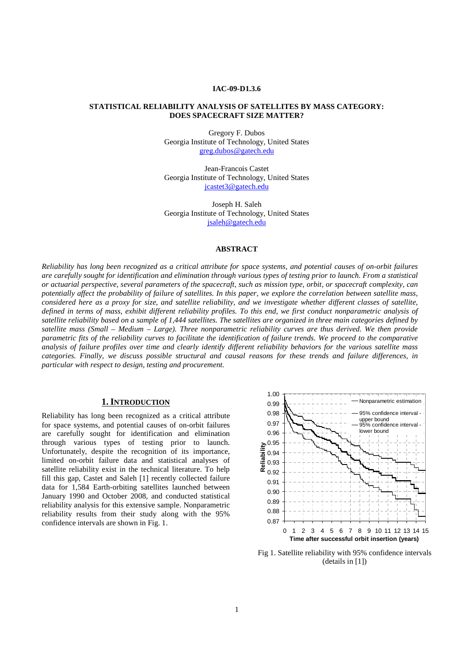#### **IAC-09-D1.3.6**

### **STATISTICAL RELIABILITY ANALYSIS OF SATELLITES BY MASS CATEGORY: DOES SPACECRAFT SIZE MATTER?**

Gregory F. Dubos Georgia Institute of Technology, United States greg.dubos@gatech.edu

Jean-Francois Castet Georgia Institute of Technology, United States jcastet3@gatech.edu

Joseph H. Saleh Georgia Institute of Technology, United States jsaleh@gatech.edu

## **ABSTRACT**

*Reliability has long been recognized as a critical attribute for space systems, and potential causes of on-orbit failures are carefully sought for identification and elimination through various types of testing prior to launch. From a statistical or actuarial perspective, several parameters of the spacecraft, such as mission type, orbit, or spacecraft complexity, can potentially affect the probability of failure of satellites. In this paper, we explore the correlation between satellite mass, considered here as a proxy for size, and satellite reliability, and we investigate whether different classes of satellite, defined in terms of mass, exhibit different reliability profiles. To this end, we first conduct nonparametric analysis of satellite reliability based on a sample of 1,444 satellites. The satellites are organized in three main categories defined by*  satellite mass (Small – Medium – Large). Three nonparametric reliability curves are thus derived. We then provide *parametric fits of the reliability curves to facilitate the identification of failure trends. We proceed to the comparative analysis of failure profiles over time and clearly identify different reliability behaviors for the various satellite mass categories. Finally, we discuss possible structural and causal reasons for these trends and failure differences, in particular with respect to design, testing and procurement.* 

### **1.INTRODUCTION**

Reliability has long been recognized as a critical attribute for space systems, and potential causes of on-orbit failures are carefully sought for identification and elimination through various types of testing prior to launch. Unfortunately, despite the recognition of its importance, limited on-orbit failure data and statistical analyses of satellite reliability exist in the technical literature. To help fill this gap, Castet and Saleh [1] recently collected failure data for 1,584 Earth-orbiting satellites launched between January 1990 and October 2008, and conducted statistical reliability analysis for this extensive sample. Nonparametric reliability results from their study along with the 95% confidence intervals are shown in Fig. 1. 0.87



Fig 1. Satellite reliability with 95% confidence intervals (details in [1])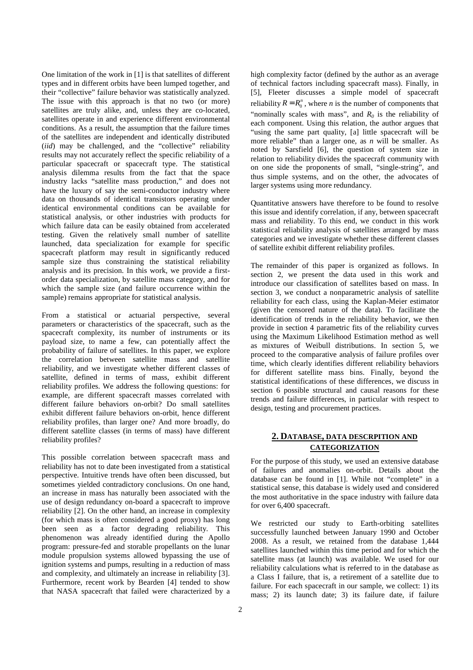One limitation of the work in [1] is that satellites of different types and in different orbits have been lumped together, and their "collective" failure behavior was statistically analyzed. The issue with this approach is that no two (or more) satellites are truly alike, and, unless they are co-located, satellites operate in and experience different environmental conditions. As a result, the assumption that the failure times of the satellites are independent and identically distributed (*iid*) may be challenged, and the "collective" reliability results may not accurately reflect the specific reliability of a particular spacecraft or spacecraft type. The statistical analysis dilemma results from the fact that the space industry lacks "satellite mass production," and does not have the luxury of say the semi-conductor industry where data on thousands of identical transistors operating under identical environmental conditions can be available for statistical analysis, or other industries with products for which failure data can be easily obtained from accelerated testing. Given the relatively small number of satellite launched, data specialization for example for specific spacecraft platform may result in significantly reduced sample size thus constraining the statistical reliability analysis and its precision. In this work, we provide a firstorder data specialization, by satellite mass category, and for which the sample size (and failure occurrence within the sample) remains appropriate for statistical analysis.

From a statistical or actuarial perspective, several parameters or characteristics of the spacecraft, such as the spacecraft complexity, its number of instruments or its payload size, to name a few, can potentially affect the probability of failure of satellites. In this paper, we explore the correlation between satellite mass and satellite reliability, and we investigate whether different classes of satellite, defined in terms of mass, exhibit different reliability profiles. We address the following questions: for example, are different spacecraft masses correlated with different failure behaviors on-orbit? Do small satellites exhibit different failure behaviors on-orbit, hence different reliability profiles, than larger one? And more broadly, do different satellite classes (in terms of mass) have different reliability profiles?

This possible correlation between spacecraft mass and reliability has not to date been investigated from a statistical perspective. Intuitive trends have often been discussed, but sometimes yielded contradictory conclusions. On one hand, an increase in mass has naturally been associated with the use of design redundancy on-board a spacecraft to improve reliability [2]. On the other hand, an increase in complexity (for which mass is often considered a good proxy) has long been seen as a factor degrading reliability. This phenomenon was already identified during the Apollo program: pressure-fed and storable propellants on the lunar module propulsion systems allowed bypassing the use of ignition systems and pumps, resulting in a reduction of mass and complexity, and ultimately an increase in reliability [3]. Furthermore, recent work by Bearden [4] tended to show that NASA spacecraft that failed were characterized by a high complexity factor (defined by the author as an average of technical factors including spacecraft mass). Finally, in [5], Fleeter discusses a simple model of spacecraft reliability  $R = R_0^n$ , where *n* is the number of components that "nominally scales with mass", and *R0* is the reliability of each component. Using this relation, the author argues that "using the same part quality, [a] little spacecraft will be more reliable" than a larger one, as *n* will be smaller. As noted by Sarsfield [6], the question of system size in relation to reliability divides the spacecraft community with on one side the proponents of small, "single-string", and thus simple systems, and on the other, the advocates of larger systems using more redundancy.

Quantitative answers have therefore to be found to resolve this issue and identify correlation, if any, between spacecraft mass and reliability. To this end, we conduct in this work statistical reliability analysis of satellites arranged by mass categories and we investigate whether these different classes of satellite exhibit different reliability profiles.

The remainder of this paper is organized as follows. In section 2, we present the data used in this work and introduce our classification of satellites based on mass. In section 3, we conduct a nonparametric analysis of satellite reliability for each class, using the Kaplan-Meier estimator (given the censored nature of the data). To facilitate the identification of trends in the reliability behavior, we then provide in section 4 parametric fits of the reliability curves using the Maximum Likelihood Estimation method as well as mixtures of Weibull distributions. In section 5, we proceed to the comparative analysis of failure profiles over time, which clearly identifies different reliability behaviors for different satellite mass bins. Finally, beyond the statistical identifications of these differences, we discuss in section 6 possible structural and causal reasons for these trends and failure differences, in particular with respect to design, testing and procurement practices.

# **2. DATABASE, DATA DESCRPITION AND CATEGORIZATION**

For the purpose of this study, we used an extensive database of failures and anomalies on-orbit. Details about the database can be found in [1]. While not "complete" in a statistical sense, this database is widely used and considered the most authoritative in the space industry with failure data for over 6,400 spacecraft.

We restricted our study to Earth-orbiting satellites successfully launched between January 1990 and October 2008. As a result, we retained from the database 1,444 satellites launched within this time period and for which the satellite mass (at launch) was available. We used for our reliability calculations what is referred to in the database as a Class I failure, that is, a retirement of a satellite due to failure. For each spacecraft in our sample, we collect: 1) its mass; 2) its launch date; 3) its failure date, if failure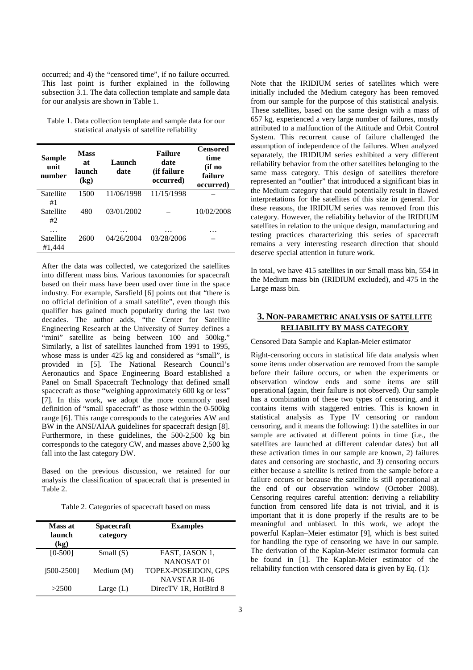occurred; and 4) the "censored time", if no failure occurred. This last point is further explained in the following subsection 3.1. The data collection template and sample data for our analysis are shown in Table 1.

Table 1. Data collection template and sample data for our statistical analysis of satellite reliability

| <b>Sample</b><br>unit<br>number    | <b>Mass</b><br>at<br>launch<br>(kg) | Launch<br>date           | <b>Failure</b><br>date<br>(if failure<br>occurred) | <b>Censored</b><br>time<br>(if no<br>failure<br>occurred) |
|------------------------------------|-------------------------------------|--------------------------|----------------------------------------------------|-----------------------------------------------------------|
| Satellite<br>#1<br>Satellite<br>#2 | 1500<br>480                         | 11/06/1998<br>03/01/2002 | 11/15/1998                                         | 10/02/2008                                                |
| .<br>Satellite<br>#1,444           | 2600                                | .<br>04/26/2004          | .<br>03/28/2006                                    | .                                                         |

After the data was collected, we categorized the satellites into different mass bins. Various taxonomies for spacecraft based on their mass have been used over time in the space industry. For example, Sarsfield [6] points out that "there is no official definition of a small satellite", even though this qualifier has gained much popularity during the last two decades. The author adds, "the Center for Satellite Engineering Research at the University of Surrey defines a "mini" satellite as being between 100 and 500kg." Similarly, a list of satellites launched from 1991 to 1995, whose mass is under 425 kg and considered as "small", is provided in [5]. The National Research Council's Aeronautics and Space Engineering Board established a Panel on Small Spacecraft Technology that defined small spacecraft as those "weighing approximately 600 kg or less" [7]. In this work, we adopt the more commonly used definition of "small spacecraft" as those within the 0-500kg range [6]. This range corresponds to the categories AW and BW in the ANSI/AIAA guidelines for spacecraft design [8]. Furthermore, in these guidelines, the 500-2,500 kg bin corresponds to the category CW, and masses above 2,500 kg fall into the last category DW.

Based on the previous discussion, we retained for our analysis the classification of spacecraft that is presented in Table 2.

Table 2. Categories of spacecraft based on mass

| Mass at<br>launch<br>(kg) | <b>Spacecraft</b><br>category | <b>Examples</b>       |
|---------------------------|-------------------------------|-----------------------|
| $[0 - 500]$               | Small $(S)$                   | FAST, JASON 1,        |
|                           |                               | NANOSAT <sub>01</sub> |
| 1500-25001                | Medium (M)                    | TOPEX-POSEIDON, GPS   |
|                           |                               | <b>NAVSTAR II-06</b>  |
| >2500                     | Large $(L)$                   | DirecTV 1R, HotBird 8 |

Note that the IRIDIUM series of satellites which were initially included the Medium category has been removed from our sample for the purpose of this statistical analysis. These satellites, based on the same design with a mass of 657 kg, experienced a very large number of failures, mostly attributed to a malfunction of the Attitude and Orbit Control System. This recurrent cause of failure challenged the assumption of independence of the failures. When analyzed separately, the IRIDIUM series exhibited a very different reliability behavior from the other satellites belonging to the same mass category. This design of satellites therefore represented an "outlier" that introduced a significant bias in the Medium category that could potentially result in flawed interpretations for the satellites of this size in general. For these reasons, the IRIDIUM series was removed from this category. However, the reliability behavior of the IRIDIUM satellites in relation to the unique design, manufacturing and testing practices characterizing this series of spacecraft remains a very interesting research direction that should deserve special attention in future work.

In total, we have 415 satellites in our Small mass bin, 554 in the Medium mass bin (IRIDIUM excluded), and 475 in the Large mass bin.

# **3. NON-PARAMETRIC ANALYSIS OF SATELLITE RELIABILITY BY MASS CATEGORY**

#### Censored Data Sample and Kaplan-Meier estimator

Right-censoring occurs in statistical life data analysis when some items under observation are removed from the sample before their failure occurs, or when the experiments or observation window ends and some items are still operational (again, their failure is not observed). Our sample has a combination of these two types of censoring, and it contains items with staggered entries. This is known in statistical analysis as Type IV censoring or random censoring, and it means the following: 1) the satellites in our sample are activated at different points in time (i.e., the satellites are launched at different calendar dates) but all these activation times in our sample are known, 2) failures dates and censoring are stochastic, and 3) censoring occurs either because a satellite is retired from the sample before a failure occurs or because the satellite is still operational at the end of our observation window (October 2008). Censoring requires careful attention: deriving a reliability function from censored life data is not trivial, and it is important that it is done properly if the results are to be meaningful and unbiased. In this work, we adopt the powerful Kaplan–Meier estimator [9], which is best suited for handling the type of censoring we have in our sample. The derivation of the Kaplan-Meier estimator formula can be found in [1]. The Kaplan-Meier estimator of the reliability function with censored data is given by Eq. (1):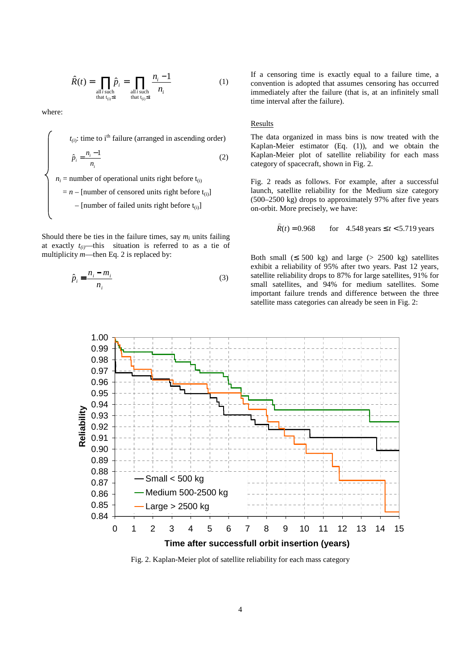$$
\hat{R}(t) = \prod_{\substack{\text{all }i \text{ such} \\ \text{that } t_{(i)} \le t}} \hat{p}_i = \prod_{\substack{\text{all }i \text{ such} \\ \text{that } t_{(i)} \le t}} \frac{n_i - 1}{n_i}
$$
(1)

where:

$$
t_{(i)}: \text{ time to } i^{\text{th}} \text{ failure (arranged in ascending order)}
$$
\n
$$
\hat{p}_i = \frac{n_i - 1}{n_i}
$$
\n
$$
n_i = \text{number of operational units right before } t_{(i)}
$$
\n
$$
= n - [\text{number of censored units right before } t_{(i)}]
$$
\n
$$
- [\text{number of failed units right before } t_{(i)}]
$$

Should there be ties in the failure times, say  $m_i$  units failing at exactly  $t_{(i)}$ —this situation is referred to as a tie of multiplicity *m*—then Eq. 2 is replaced by:

$$
\hat{p}_i = \frac{n_i - m_i}{n_i} \tag{3}
$$

If a censoring time is exactly equal to a failure time, a convention is adopted that assumes censoring has occurred immediately after the failure (that is, at an infinitely small time interval after the failure).

### Results

The data organized in mass bins is now treated with the Kaplan-Meier estimator (Eq. (1)), and we obtain the Kaplan-Meier plot of satellite reliability for each mass category of spacecraft, shown in Fig. 2.

Fig. 2 reads as follows. For example, after a successful launch, satellite reliability for the Medium size category (500–2500 kg) drops to approximately 97% after five years on-orbit. More precisely, we have:

> for 4.548 years  $\leq t < 5.719$  years  $\hat{R}(t) = 0.968$

Both small  $( \leq 500 \text{ kg} )$  and large  $( > 2500 \text{ kg} )$  satellites exhibit a reliability of 95% after two years. Past 12 years, satellite reliability drops to 87% for large satellites, 91% for small satellites, and 94% for medium satellites. Some important failure trends and difference between the three satellite mass categories can already be seen in Fig. 2:



Fig. 2. Kaplan-Meier plot of satellite reliability for each mass category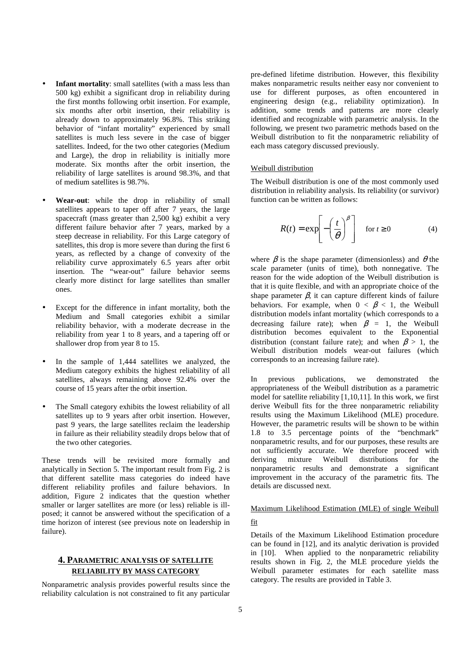- **Infant mortality:** small satellites (with a mass less than 500 kg) exhibit a significant drop in reliability during the first months following orbit insertion. For example, six months after orbit insertion, their reliability is already down to approximately 96.8%. This striking behavior of "infant mortality" experienced by small satellites is much less severe in the case of bigger satellites. Indeed, for the two other categories (Medium and Large), the drop in reliability is initially more moderate. Six months after the orbit insertion, the reliability of large satellites is around 98.3%, and that of medium satellites is 98.7%.
- **Wear-out**: while the drop in reliability of small satellites appears to taper off after 7 years, the large spacecraft (mass greater than 2,500 kg) exhibit a very different failure behavior after 7 years, marked by a steep decrease in reliability. For this Large category of satellites, this drop is more severe than during the first 6 years, as reflected by a change of convexity of the reliability curve approximately 6.5 years after orbit insertion. The "wear-out" failure behavior seems clearly more distinct for large satellites than smaller ones.
- Except for the difference in infant mortality, both the Medium and Small categories exhibit a similar reliability behavior, with a moderate decrease in the reliability from year 1 to 8 years, and a tapering off or shallower drop from year 8 to 15.
- In the sample of 1,444 satellites we analyzed, the Medium category exhibits the highest reliability of all satellites, always remaining above 92.4% over the course of 15 years after the orbit insertion.
- The Small category exhibits the lowest reliability of all satellites up to 9 years after orbit insertion. However, past 9 years, the large satellites reclaim the leadership in failure as their reliability steadily drops below that of the two other categories.

These trends will be revisited more formally and analytically in Section 5. The important result from Fig. 2 is that different satellite mass categories do indeed have different reliability profiles and failure behaviors. In addition, Figure 2 indicates that the question whether smaller or larger satellites are more (or less) reliable is illposed; it cannot be answered without the specification of a time horizon of interest (see previous note on leadership in failure).

# **4. PARAMETRIC ANALYSIS OF SATELLITE RELIABILITY BY MASS CATEGORY**

Nonparametric analysis provides powerful results since the reliability calculation is not constrained to fit any particular

pre-defined lifetime distribution. However, this flexibility makes nonparametric results neither easy nor convenient to use for different purposes, as often encountered in engineering design (e.g., reliability optimization). In addition, some trends and patterns are more clearly identified and recognizable with parametric analysis. In the following, we present two parametric methods based on the Weibull distribution to fit the nonparametric reliability of each mass category discussed previously.

## Weibull distribution

The Weibull distribution is one of the most commonly used distribution in reliability analysis. Its reliability (or survivor) function can be written as follows:

$$
R(t) = \exp\left[-\left(\frac{t}{\theta}\right)^{\beta}\right] \quad \text{for } t \ge 0 \tag{4}
$$

where  $\beta$  is the shape parameter (dimensionless) and  $\theta$  the scale parameter (units of time), both nonnegative. The reason for the wide adoption of the Weibull distribution is that it is quite flexible, and with an appropriate choice of the shape parameter  $\beta$ , it can capture different kinds of failure behaviors. For example, when  $0 < \beta < 1$ , the Weibull distribution models infant mortality (which corresponds to a decreasing failure rate); when  $\beta = 1$ , the Weibull distribution becomes equivalent to the Exponential distribution (constant failure rate); and when  $\beta > 1$ , the Weibull distribution models wear-out failures (which corresponds to an increasing failure rate).

In previous publications, we demonstrated the appropriateness of the Weibull distribution as a parametric model for satellite reliability [1,10,11]. In this work, we first derive Weibull fits for the three nonparametric reliability results using the Maximum Likelihood (MLE) procedure. However, the parametric results will be shown to be within 1.8 to 3.5 percentage points of the "benchmark" nonparametric results, and for our purposes, these results are not sufficiently accurate. We therefore proceed with deriving mixture Weibull distributions for the nonparametric results and demonstrate a significant improvement in the accuracy of the parametric fits. The details are discussed next.

# Maximum Likelihood Estimation (MLE) of single Weibull fit

Details of the Maximum Likelihood Estimation procedure can be found in [12], and its analytic derivation is provided in [10]. When applied to the nonparametric reliability results shown in Fig. 2, the MLE procedure yields the Weibull parameter estimates for each satellite mass category. The results are provided in Table 3.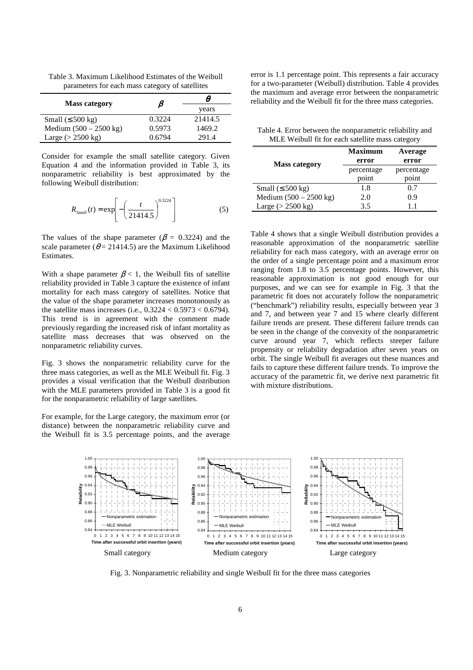Table 3. Maximum Likelihood Estimates of the Weibull parameters for each mass category of satellites

| <b>Mass category</b>             | В      | θ       |
|----------------------------------|--------|---------|
|                                  |        | years   |
| Small $( \leq 500 \text{ kg} )$  | 0.3224 | 21414.5 |
| Medium $(500 - 2500 \text{ kg})$ | 0.5973 | 1469.2  |
| Large $(> 2500 \text{ kg})$      | 0.6794 | 291.4   |

Consider for example the small satellite category. Given Equation 4 and the information provided in Table 3, its nonparametric reliability is best approximated by the following Weibull distribution:

$$
R_{\text{Small}}(t) = \exp\left[-\left(\frac{t}{21414.5}\right)^{0.3224}\right] \tag{5}
$$

The values of the shape parameter ( $\beta$  = 0.3224) and the scale parameter ( $\theta$  = 21414.5) are the Maximum Likelihood Estimates.

With a shape parameter  $\beta$  < 1, the Weibull fits of satellite reliability provided in Table 3 capture the existence of infant mortality for each mass category of satellites. Notice that the value of the shape parameter increases monotonously as the satellite mass increases (i.e.,  $0.3224 < 0.5973 < 0.6794$ ). This trend is in agreement with the comment made previously regarding the increased risk of infant mortality as satellite mass decreases that was observed on the nonparametric reliability curves.

Fig. 3 shows the nonparametric reliability curve for the three mass categories, as well as the MLE Weibull fit. Fig. 3 provides a visual verification that the Weibull distribution with the MLE parameters provided in Table 3 is a good fit for the nonparametric reliability of large satellites.

For example, for the Large category, the maximum error (or distance) between the nonparametric reliability curve and the Weibull fit is 3.5 percentage points, and the average error is 1.1 percentage point. This represents a fair accuracy for a two-parameter (Weibull) distribution. Table 4 provides the maximum and average error between the nonparametric reliability and the Weibull fit for the three mass categories.

Table 4. Error between the nonparametric reliability and MLE Weibull fit for each satellite mass category

|                                 | <b>Maximum</b> | Average    |
|---------------------------------|----------------|------------|
| <b>Mass category</b>            | error          | error      |
|                                 | percentage     | percentage |
|                                 | point          | point      |
| Small $( \leq 500 \text{ kg} )$ | 1.8            | 0.7        |
| Medium $(500 - 2500$ kg)        | 2.0            | 0.9        |
| Large $(>2500 \text{ kg})$      | 3.5            |            |

Table 4 shows that a single Weibull distribution provides a reasonable approximation of the nonparametric satellite reliability for each mass category, with an average error on the order of a single percentage point and a maximum error ranging from 1.8 to 3.5 percentage points. However, this reasonable approximation is not good enough for our purposes, and we can see for example in Fig. 3 that the parametric fit does not accurately follow the nonparametric ("benchmark") reliability results, especially between year 3 and 7, and between year 7 and 15 where clearly different failure trends are present. These different failure trends can be seen in the change of the convexity of the nonparametric curve around year 7, which reflects steeper failure propensity or reliability degradation after seven years on orbit. The single Weibull fit averages out these nuances and fails to capture these different failure trends. To improve the accuracy of the parametric fit, we derive next parametric fit with mixture distributions.



Fig. 3. Nonparametric reliability and single Weibull fit for the three mass categories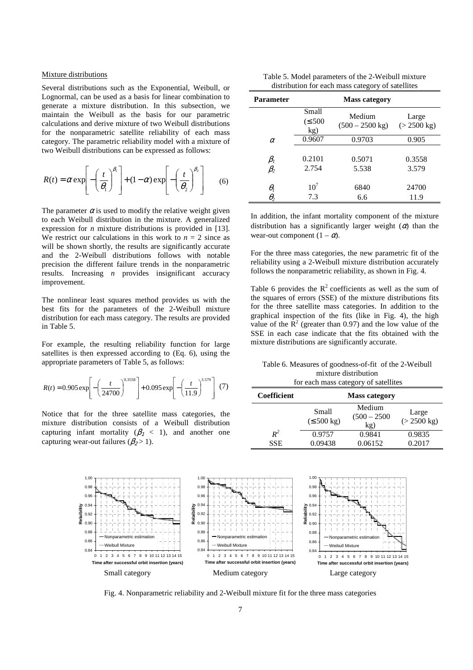### Mixture distributions

Several distributions such as the Exponential, Weibull, or Lognormal, can be used as a basis for linear combination to generate a mixture distribution. In this subsection, we maintain the Weibull as the basis for our parametric calculations and derive mixture of two Weibull distributions for the nonparametric satellite reliability of each mass category. The parametric reliability model with a mixture of two Weibull distributions can be expressed as follows:

$$
R(t) = \alpha \exp\left[-\left(\frac{t}{\theta_1}\right)^{\beta_1}\right] + (1-\alpha) \exp\left[-\left(\frac{t}{\theta_2}\right)^{\beta_2}\right] \tag{6}
$$

The parameter  $\alpha$  is used to modify the relative weight given to each Weibull distribution in the mixture. A generalized expression for *n* mixture distributions is provided in [13]. We restrict our calculations in this work to  $n = 2$  since as will be shown shortly, the results are significantly accurate and the 2-Weibull distributions follows with notable precision the different failure trends in the nonparametric results. Increasing *n* provides insignificant accuracy improvement.

The nonlinear least squares method provides us with the best fits for the parameters of the 2-Weibull mixture distribution for each mass category. The results are provided in Table 5.

For example, the resulting reliability function for large satellites is then expressed according to (Eq. 6), using the appropriate parameters of Table 5, as follows:

$$
R(t) = 0.905 \exp\left[-\left(\frac{t}{24700}\right)^{0.3558}\right] + 0.095 \exp\left[-\left(\frac{t}{11.9}\right)^{3.579}\right] (7)
$$

Notice that for the three satellite mass categories, the mixture distribution consists of a Weibull distribution capturing infant mortality ( $\beta_1$  < 1), and another one capturing wear-out failures ( $\beta_2 > 1$ ).

Table 5. Model parameters of the 2-Weibull mixture distribution for each mass category of satellites

| <b>Parameter</b>                               | <b>Mass category</b>        |                                     |                                |
|------------------------------------------------|-----------------------------|-------------------------------------|--------------------------------|
|                                                | Small<br>$(\leq 500$<br>kg) | Medium<br>$(500 - 2500 \text{ kg})$ | Large<br>$(> 2500 \text{ kg})$ |
| $\alpha$                                       | 0.9607                      | 0.9703                              | 0.905                          |
| $\beta_{\rm\scriptscriptstyle I}$<br>$\beta_2$ | 0.2101<br>2.754             | 0.5071<br>5.538                     | 0.3558<br>3.579                |
| $\theta_{\scriptscriptstyle{I}}$<br>$\theta_2$ | 10 <sup>7</sup><br>7.3      | 6840<br>6.6                         | 24700<br>11.9                  |

In addition, the infant mortality component of the mixture distribution has a significantly larger weight  $(\alpha)$  than the wear-out component  $(1 - \alpha)$ .

For the three mass categories, the new parametric fit of the reliability using a 2-Weibull mixture distribution accurately follows the nonparametric reliability, as shown in Fig. 4.

Table 6 provides the  $R^2$  coefficients as well as the sum of the squares of errors (SSE) of the mixture distributions fits for the three satellite mass categories. In addition to the graphical inspection of the fits (like in Fig. 4), the high value of the  $\mathbb{R}^2$  (greater than 0.97) and the low value of the SSE in each case indicate that the fits obtained with the mixture distributions are significantly accurate.

Table 6. Measures of goodness-of-fit of the 2-Weibull mixture distribution for each mass category of satellites

| Coefficient |                                  | <b>Mass category</b>            |                                |
|-------------|----------------------------------|---------------------------------|--------------------------------|
|             | Small<br>$(\leq 500 \text{ kg})$ | Medium<br>$(500 - 2500)$<br>kg) | Large<br>$(> 2500 \text{ kg})$ |
| $R^2$       | 0.9757                           | 0.9841                          | 0.9835                         |
| <b>SSE</b>  | 0.09438                          | 0.06152                         | 0.2017                         |



Fig. 4. Nonparametric reliability and 2-Weibull mixture fit for the three mass categories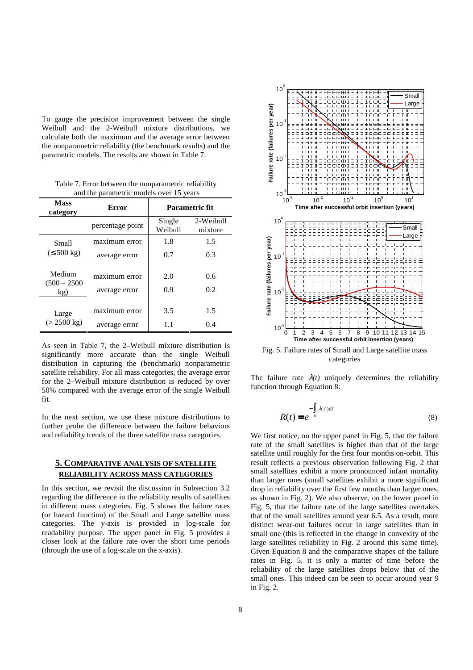To gauge the precision improvement between the single Weibull and the 2-Weibull mixture distributions, we calculate both the maximum and the average error between the nonparametric reliability (the benchmark results) and the parametric models. The results are shown in Table 7.

Table 7. Error between the nonparametric reliability and the parametric models over 15 years

| <b>Mass</b><br>category         | Error                          |                   | Parametric fit       |
|---------------------------------|--------------------------------|-------------------|----------------------|
|                                 | percentage point               | Single<br>Weibull | 2-Weibull<br>mixture |
| Small                           | maximum error                  | 1.8               | 1.5                  |
| $(\leq 500 \text{ kg})$         | average error                  | 0.7               | 0.3                  |
| Medium<br>$(500 - 2500)$<br>kg) | maximum error<br>average error | 2.0<br>0.9        | 0.6<br>0.2           |
| Large<br>$(> 2500 \text{ kg})$  | maximum error<br>average error | 3.5<br>1.1        | 1.5<br>0.4           |

As seen in Table 7, the 2–Weibull mixture distribution is significantly more accurate than the single Weibull distribution in capturing the (benchmark) nonparametric satellite reliability. For all mass categories, the average error for the 2–Weibull mixture distribution is reduced by over 50% compared with the average error of the single Weibull fit.

In the next section, we use these mixture distributions to further probe the difference between the failure behaviors and reliability trends of the three satellite mass categories.

# **5. COMPARATIVE ANALYSIS OF SATELLITE RELIABILITY ACROSS MASS CATEGORIES**

In this section, we revisit the discussion in Subsection 3.2 regarding the difference in the reliability results of satellites in different mass categories. Fig. 5 shows the failure rates (or hazard function) of the Small and Large satellite mass categories. The y-axis is provided in log-scale for readability purpose. The upper panel in Fig. 5 provides a closer look at the failure rate over the short time periods (through the use of a log-scale on the x-axis).



Fig. 5. Failure rates of Small and Large satellite mass categories

The failure rate  $\lambda(t)$  uniquely determines the reliability function through Equation 8:

$$
R(t) = e^{-\int_{0}^{t} \lambda(t')dt'}\tag{8}
$$

We first notice, on the upper panel in Fig. 5, that the failure rate of the small satellites is higher than that of the large satellite until roughly for the first four months on-orbit. This result reflects a previous observation following Fig. 2 that small satellites exhibit a more pronounced infant mortality than larger ones (small satellites exhibit a more significant drop in reliability over the first few months than larger ones, as shown in Fig. 2). We also observe, on the lower panel in Fig. 5, that the failure rate of the large satellites overtakes that of the small satellites around year 6.5. As a result, more distinct wear-out failures occur in large satellites than in small one (this is reflected in the change in convexity of the large satellites reliability in Fig. 2 around this same time). Given Equation 8 and the comparative shapes of the failure rates in Fig. 5, it is only a matter of time before the reliability of the large satellites drops below that of the small ones. This indeed can be seen to occur around year 9 in Fig. 2.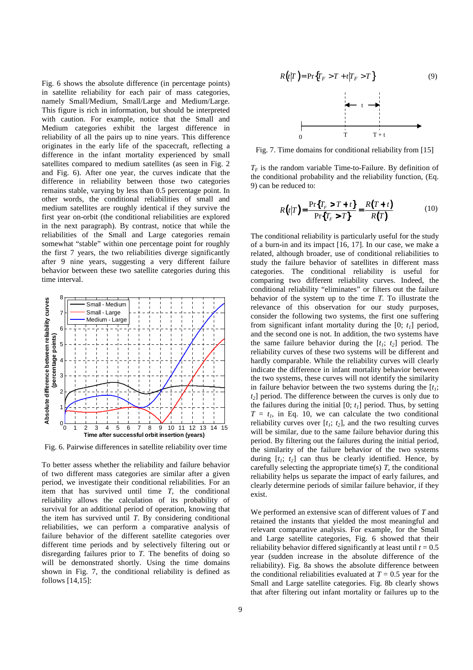Fig. 6 shows the absolute difference (in percentage points) in satellite reliability for each pair of mass categories, namely Small/Medium, Small/Large and Medium/Large. This figure is rich in information, but should be interpreted with caution. For example, notice that the Small and Medium categories exhibit the largest difference in reliability of all the pairs up to nine years. This difference originates in the early life of the spacecraft, reflecting a difference in the infant mortality experienced by small satellites compared to medium satellites (as seen in Fig. 2 and Fig. 6). After one year, the curves indicate that the difference in reliability between those two categories remains stable, varying by less than 0.5 percentage point. In other words, the conditional reliabilities of small and medium satellites are roughly identical if they survive the first year on-orbit (the conditional reliabilities are explored in the next paragraph). By contrast, notice that while the reliabilities of the Small and Large categories remain somewhat "stable" within one percentage point for roughly the first 7 years, the two reliabilities diverge significantly after 9 nine years, suggesting a very different failure behavior between these two satellite categories during this time interval.



Fig. 6. Pairwise differences in satellite reliability over time

To better assess whether the reliability and failure behavior of two different mass categories are similar after a given period, we investigate their conditional reliabilities. For an item that has survived until time *T*, the conditional reliability allows the calculation of its probability of survival for an additional period of operation, knowing that the item has survived until *T*. By considering conditional reliabilities, we can perform a comparative analysis of failure behavior of the different satellite categories over different time periods and by selectively filtering out or disregarding failures prior to *T*. The benefits of doing so will be demonstrated shortly. Using the time domains shown in Fig. 7, the conditional reliability is defined as follows [14,15]:



Fig. 7. Time domains for conditional reliability from [15]

 $T_F$  is the random variable Time-to-Failure. By definition of the conditional probability and the reliability function, (Eq. 9) can be reduced to:

$$
R(t|T) = \frac{\Pr\{T_r > T + t\}}{\Pr\{T_r > T\}} = \frac{R(T + t)}{R(T)}\tag{10}
$$

The conditional reliability is particularly useful for the study of a burn-in and its impact [16, 17]. In our case, we make a related, although broader, use of conditional reliabilities to study the failure behavior of satellites in different mass categories. The conditional reliability is useful for comparing two different reliability curves. Indeed, the conditional reliability "eliminates" or filters out the failure behavior of the system up to the time *T*. To illustrate the relevance of this observation for our study purposes, consider the following two systems, the first one suffering from significant infant mortality during the [0; *t1*] period, and the second one is not. In addition, the two systems have the same failure behavior during the  $[t_1; t_2]$  period. The reliability curves of these two systems will be different and hardly comparable. While the reliability curves will clearly indicate the difference in infant mortality behavior between the two systems, these curves will not identify the similarity in failure behavior between the two systems during the  $[t<sub>i</sub>$ ; *t2*] period. The difference between the curves is only due to the failures during the initial  $[0; t<sub>l</sub>]$  period. Thus, by setting  $T = t_1$ , in Eq. 10, we can calculate the two conditional reliability curves over  $[t_i; t_2]$ , and the two resulting curves will be similar, due to the same failure behavior during this period. By filtering out the failures during the initial period, the similarity of the failure behavior of the two systems during  $[t_1; t_2]$  can thus be clearly identified. Hence, by carefully selecting the appropriate time(s) *T*, the conditional reliability helps us separate the impact of early failures, and clearly determine periods of similar failure behavior, if they exist.

We performed an extensive scan of different values of *T* and retained the instants that yielded the most meaningful and relevant comparative analysis. For example, for the Small and Large satellite categories, Fig. 6 showed that their reliability behavior differed significantly at least until  $t = 0.5$ year (sudden increase in the absolute difference of the reliability). Fig. 8a shows the absolute difference between the conditional reliabilities evaluated at  $T = 0.5$  year for the Small and Large satellite categories. Fig. 8b clearly shows that after filtering out infant mortality or failures up to the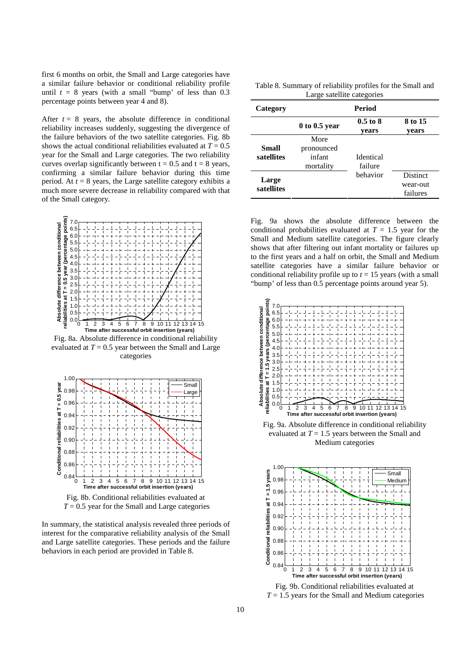first 6 months on orbit, the Small and Large categories have a similar failure behavior or conditional reliability profile until  $t = 8$  years (with a small "bump" of less than 0.3 percentage points between year 4 and 8).

After  $t = 8$  years, the absolute difference in conditional reliability increases suddenly, suggesting the divergence of the failure behaviors of the two satellite categories. Fig. 8b shows the actual conditional reliabilities evaluated at  $T = 0.5$ year for the Small and Large categories. The two reliability curves overlap significantly between  $t = 0.5$  and  $t = 8$  years, confirming a similar failure behavior during this time period. At  $t = 8$  years, the Large satellite category exhibits a much more severe decrease in reliability compared with that of the Small category.



Fig. 8a. Absolute difference in conditional reliability evaluated at  $T = 0.5$  year between the Small and Large categories



In summary, the statistical analysis revealed three periods of

interest for the comparative reliability analysis of the Small and Large satellite categories. These periods and the failure behaviors in each period are provided in Table 8.

Table 8. Summary of reliability profiles for the Small and Large satellite categories

| Category            | <b>Period</b>                             |                             |                                         |
|---------------------|-------------------------------------------|-----------------------------|-----------------------------------------|
|                     | $0$ to 0.5 year                           | $0.5$ to $8$<br>vears       | 8 to 15<br>vears                        |
| Small<br>satellites | More<br>pronounced<br>infant<br>mortality | <b>Identical</b><br>failure |                                         |
| Large<br>satellites |                                           | behavior                    | <b>Distinct</b><br>wear-out<br>failures |

Fig. 9a shows the absolute difference between the conditional probabilities evaluated at  $T = 1.5$  year for the Small and Medium satellite categories. The figure clearly shows that after filtering out infant mortality or failures up to the first years and a half on orbit, the Small and Medium satellite categories have a similar failure behavior or conditional reliability profile up to  $t = 15$  years (with a small "bump' of less than 0.5 percentage points around year 5).



Fig. 9a. Absolute difference in conditional reliability evaluated at *T* = 1.5 years between the Small and Medium categories



Fig. 9b. Conditional reliabilities evaluated at  $T = 1.5$  years for the Small and Medium categories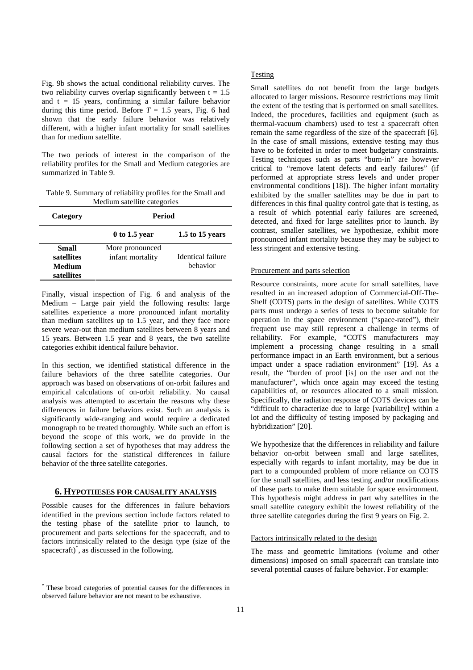Fig. 9b shows the actual conditional reliability curves. The two reliability curves overlap significantly between  $t = 1.5$ and  $t = 15$  years, confirming a similar failure behavior during this time period. Before  $T = 1.5$  years, Fig. 6 had shown that the early failure behavior was relatively different, with a higher infant mortality for small satellites than for medium satellite.

The two periods of interest in the comparison of the reliability profiles for the Small and Medium categories are summarized in Table 9.

Table 9. Summary of reliability profiles for the Small and Medium satellite categories

| Category             | <b>Period</b>                       |                          |  |
|----------------------|-------------------------------------|--------------------------|--|
|                      | $0$ to 1.5 year                     | 1.5 to 15 years          |  |
| Small<br>satellites  | More pronounced<br>infant mortality | <b>Identical failure</b> |  |
| Medium<br>satellites |                                     | hehavior                 |  |

Finally, visual inspection of Fig. 6 and analysis of the Medium – Large pair yield the following results: large satellites experience a more pronounced infant mortality than medium satellites up to 1.5 year, and they face more severe wear-out than medium satellites between 8 years and 15 years. Between 1.5 year and 8 years, the two satellite categories exhibit identical failure behavior.

In this section, we identified statistical difference in the failure behaviors of the three satellite categories. Our approach was based on observations of on-orbit failures and empirical calculations of on-orbit reliability. No causal analysis was attempted to ascertain the reasons why these differences in failure behaviors exist. Such an analysis is significantly wide-ranging and would require a dedicated monograph to be treated thoroughly. While such an effort is beyond the scope of this work, we do provide in the following section a set of hypotheses that may address the causal factors for the statistical differences in failure behavior of the three satellite categories.

# **6. HYPOTHESES FOR CAUSALITY ANALYSIS**

Possible causes for the differences in failure behaviors identified in the previous section include factors related to the testing phase of the satellite prior to launch, to procurement and parts selections for the spacecraft, and to factors intrinsically related to the design type (size of the spacecraft)\* , as discussed in the following.

 $\overline{a}$ 

### **Testing**

Small satellites do not benefit from the large budgets allocated to larger missions. Resource restrictions may limit the extent of the testing that is performed on small satellites. Indeed, the procedures, facilities and equipment (such as thermal-vacuum chambers) used to test a spacecraft often remain the same regardless of the size of the spacecraft [6]. In the case of small missions, extensive testing may thus have to be forfeited in order to meet budgetary constraints. Testing techniques such as parts "burn-in" are however critical to "remove latent defects and early failures" (if performed at appropriate stress levels and under proper environmental conditions [18]). The higher infant mortality exhibited by the smaller satellites may be due in part to differences in this final quality control gate that is testing, as a result of which potential early failures are screened, detected, and fixed for large satellites prior to launch. By contrast, smaller satellites, we hypothesize, exhibit more pronounced infant mortality because they may be subject to less stringent and extensive testing.

### Procurement and parts selection

Resource constraints, more acute for small satellites, have resulted in an increased adoption of Commercial-Off-The-Shelf (COTS) parts in the design of satellites. While COTS parts must undergo a series of tests to become suitable for operation in the space environment ("space-rated"), their frequent use may still represent a challenge in terms of reliability. For example, "COTS manufacturers may implement a processing change resulting in a small performance impact in an Earth environment, but a serious impact under a space radiation environment" [19]. As a result, the "burden of proof [is] on the user and not the manufacturer", which once again may exceed the testing capabilities of, or resources allocated to a small mission. Specifically, the radiation response of COTS devices can be "difficult to characterize due to large [variability] within a lot and the difficulty of testing imposed by packaging and hybridization" [20].

We hypothesize that the differences in reliability and failure behavior on-orbit between small and large satellites, especially with regards to infant mortality, may be due in part to a compounded problem of more reliance on COTS for the small satellites, and less testing and/or modifications of these parts to make them suitable for space environment. This hypothesis might address in part why satellites in the small satellite category exhibit the lowest reliability of the three satellite categories during the first 9 years on Fig. 2.

### Factors intrinsically related to the design

The mass and geometric limitations (volume and other dimensions) imposed on small spacecraft can translate into several potential causes of failure behavior. For example:

<sup>\*</sup> These broad categories of potential causes for the differences in observed failure behavior are not meant to be exhaustive.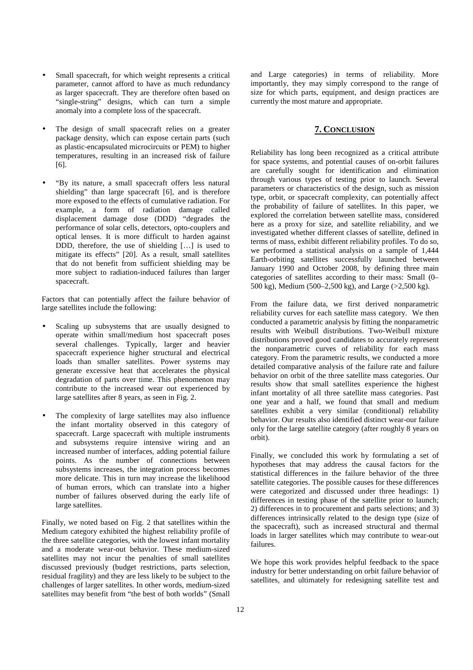- Small spacecraft, for which weight represents a critical parameter, cannot afford to have as much redundancy as larger spacecraft. They are therefore often based on "single-string" designs, which can turn a simple anomaly into a complete loss of the spacecraft.
- The design of small spacecraft relies on a greater package density, which can expose certain parts (such as plastic-encapsulated microcircuits or PEM) to higher temperatures, resulting in an increased risk of failure [6].
- "By its nature, a small spacecraft offers less natural shielding" than large spacecraft [6], and is therefore more exposed to the effects of cumulative radiation. For example, a form of radiation damage called displacement damage dose (DDD) "degrades the performance of solar cells, detectors, opto-couplers and optical lenses. It is more difficult to harden against DDD, therefore, the use of shielding […] is used to mitigate its effects" [20]. As a result, small satellites that do not benefit from sufficient shielding may be more subject to radiation-induced failures than larger spacecraft.

Factors that can potentially affect the failure behavior of large satellites include the following:

- Scaling up subsystems that are usually designed to operate within small/medium host spacecraft poses several challenges. Typically, larger and heavier spacecraft experience higher structural and electrical loads than smaller satellites. Power systems may generate excessive heat that accelerates the physical degradation of parts over time. This phenomenon may contribute to the increased wear out experienced by large satellites after 8 years, as seen in Fig. 2.
- The complexity of large satellites may also influence the infant mortality observed in this category of spacecraft. Large spacecraft with multiple instruments and subsystems require intensive wiring and an increased number of interfaces, adding potential failure points. As the number of connections between subsystems increases, the integration process becomes more delicate. This in turn may increase the likelihood of human errors, which can translate into a higher number of failures observed during the early life of large satellites.

Finally, we noted based on Fig. 2 that satellites within the Medium category exhibited the highest reliability profile of the three satellite categories, with the lowest infant mortality and a moderate wear-out behavior. These medium-sized satellites may not incur the penalties of small satellites discussed previously (budget restrictions, parts selection, residual fragility) and they are less likely to be subject to the challenges of larger satellites. In other words, medium-sized satellites may benefit from "the best of both worlds" (Small

and Large categories) in terms of reliability. More importantly, they may simply correspond to the range of size for which parts, equipment, and design practices are currently the most mature and appropriate.

# **7. CONCLUSION**

Reliability has long been recognized as a critical attribute for space systems, and potential causes of on-orbit failures are carefully sought for identification and elimination through various types of testing prior to launch. Several parameters or characteristics of the design, such as mission type, orbit, or spacecraft complexity, can potentially affect the probability of failure of satellites. In this paper, we explored the correlation between satellite mass, considered here as a proxy for size, and satellite reliability, and we investigated whether different classes of satellite, defined in terms of mass, exhibit different reliability profiles. To do so, we performed a statistical analysis on a sample of 1,444 Earth-orbiting satellites successfully launched between January 1990 and October 2008, by defining three main categories of satellites according to their mass: Small (0– 500 kg), Medium (500–2,500 kg), and Large (>2,500 kg).

From the failure data, we first derived nonparametric reliability curves for each satellite mass category. We then conducted a parametric analysis by fitting the nonparametric results with Weibull distributions. Two-Weibull mixture distributions proved good candidates to accurately represent the nonparametric curves of reliability for each mass category. From the parametric results, we conducted a more detailed comparative analysis of the failure rate and failure behavior on orbit of the three satellite mass categories. Our results show that small satellites experience the highest infant mortality of all three satellite mass categories. Past one year and a half, we found that small and medium satellites exhibit a very similar (conditional) reliability behavior. Our results also identified distinct wear-our failure only for the large satellite category (after roughly 8 years on orbit).

Finally, we concluded this work by formulating a set of hypotheses that may address the causal factors for the statistical differences in the failure behavior of the three satellite categories. The possible causes for these differences were categorized and discussed under three headings: 1) differences in testing phase of the satellite prior to launch; 2) differences in to procurement and parts selections; and 3) differences intrinsically related to the design type (size of the spacecraft), such as increased structural and thermal loads in larger satellites which may contribute to wear-out failures.

We hope this work provides helpful feedback to the space industry for better understanding on orbit failure behavior of satellites, and ultimately for redesigning satellite test and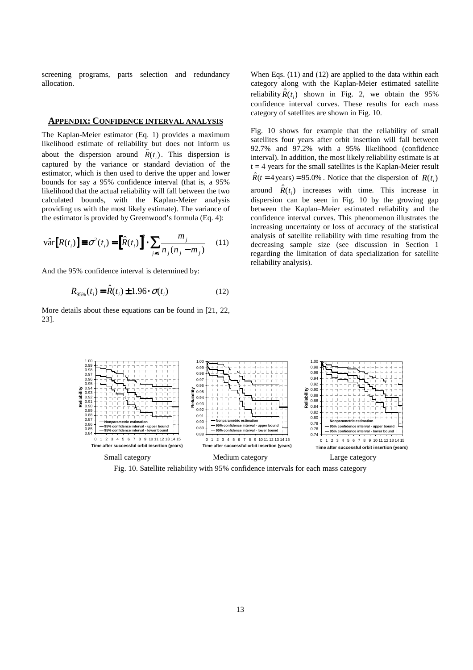screening programs, parts selection and redundancy allocation.

## **APPENDIX: CONFIDENCE INTERVAL ANALYSIS**

The Kaplan-Meier estimator (Eq. 1) provides a maximum likelihood estimate of reliability but does not inform us about the dispersion around  $\hat{R}(t_i)$ . This dispersion is captured by the variance or standard deviation of the estimator, which is then used to derive the upper and lower bounds for say a 95% confidence interval (that is, a 95% likelihood that the actual reliability will fall between the two calculated bounds, with the Kaplan-Meier analysis providing us with the most likely estimate). The variance of the estimator is provided by Greenwood's formula (Eq. 4):

$$
\hat{\text{var}}[R(t_i)] \equiv \sigma^2(t_i) = \left[\hat{R}(t_i)\right]^2 \cdot \sum_{j \le i} \frac{m_j}{n_j(n_j - m_j)} \quad (11)
$$

And the 95% confidence interval is determined by:

$$
R_{95\%}(t_i) = \hat{R}(t_i) \pm 1.96 \cdot \sigma(t_i)
$$
 (12)

More details about these equations can be found in [21, 22, 23].

When Eqs. (11) and (12) are applied to the data within each category along with the Kaplan-Meier estimated satellite reliability  $\hat{R}(t_i)$  shown in Fig. 2, we obtain the 95% confidence interval curves. These results for each mass category of satellites are shown in Fig. 10.

Fig. 10 shows for example that the reliability of small satellites four years after orbit insertion will fall between 92.7% and 97.2% with a 95% likelihood (confidence interval). In addition, the most likely reliability estimate is at  $t = 4$  years for the small satellites is the Kaplan-Meier result  $\hat{R}(t = 4 \text{ years}) = 95.0\%$ . Notice that the dispersion of  $R(t_i)$ around  $\hat{R}(t_i)$  increases with time. This increase in dispersion can be seen in Fig. 10 by the growing gap between the Kaplan–Meier estimated reliability and the confidence interval curves. This phenomenon illustrates the increasing uncertainty or loss of accuracy of the statistical analysis of satellite reliability with time resulting from the decreasing sample size (see discussion in Section 1 regarding the limitation of data specialization for satellite reliability analysis).



Fig. 10. Satellite reliability with 95% confidence intervals for each mass category